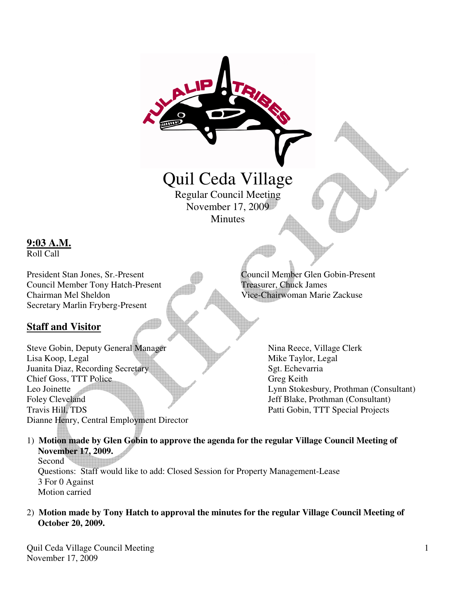

1) **Motion made by Glen Gobin to approve the agenda for the regular Village Council Meeting of November 17, 2009.**  Second<sup>1</sup>

 Questions: Staff would like to add: Closed Session for Property Management-Lease 3 For 0 Against Motion carried

2) **Motion made by Tony Hatch to approval the minutes for the regular Village Council Meeting of October 20, 2009.** 

**9:03 A.M.** Roll Call

**Staff and Visitor**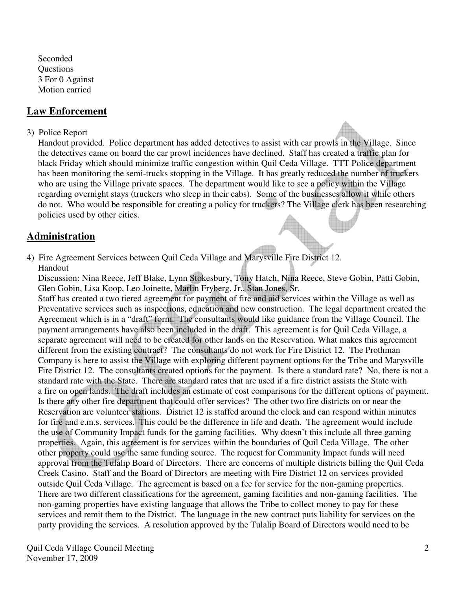Seconded **Ouestions**  3 For 0 Against Motion carried

### **Law Enforcement**

#### 3) Police Report

 Handout provided. Police department has added detectives to assist with car prowls in the Village. Since the detectives came on board the car prowl incidences have declined. Staff has created a traffic plan for black Friday which should minimize traffic congestion within Quil Ceda Village. TTT Police department has been monitoring the semi-trucks stopping in the Village. It has greatly reduced the number of truckers who are using the Village private spaces. The department would like to see a policy within the Village regarding overnight stays (truckers who sleep in their cabs). Some of the businesses allow it while others do not. Who would be responsible for creating a policy for truckers? The Village clerk has been researching policies used by other cities.

### **Administration**

4) Fire Agreement Services between Quil Ceda Village and Marysville Fire District 12. Handout

 Discussion: Nina Reece, Jeff Blake, Lynn Stokesbury, Tony Hatch, Nina Reece, Steve Gobin, Patti Gobin, Glen Gobin, Lisa Koop, Leo Joinette, Marlin Fryberg, Jr., Stan Jones, Sr.

 Staff has created a two tiered agreement for payment of fire and aid services within the Village as well as Preventative services such as inspections, education and new construction. The legal department created the Agreement which is in a "draft" form. The consultants would like guidance from the Village Council. The payment arrangements have also been included in the draft. This agreement is for Quil Ceda Village, a separate agreement will need to be created for other lands on the Reservation. What makes this agreement different from the existing contract? The consultants do not work for Fire District 12. The Prothman Company is here to assist the Village with exploring different payment options for the Tribe and Marysville Fire District 12. The consultants created options for the payment. Is there a standard rate? No, there is not a standard rate with the State. There are standard rates that are used if a fire district assists the State with a fire on open lands. The draft includes an estimate of cost comparisons for the different options of payment. Is there any other fire department that could offer services? The other two fire districts on or near the Reservation are volunteer stations. District 12 is staffed around the clock and can respond within minutes for fire and e.m.s. services. This could be the difference in life and death. The agreement would include the use of Community Impact funds for the gaming facilities. Why doesn't this include all three gaming properties. Again, this agreement is for services within the boundaries of Quil Ceda Village. The other other property could use the same funding source. The request for Community Impact funds will need approval from the Tulalip Board of Directors. There are concerns of multiple districts billing the Quil Ceda Creek Casino. Staff and the Board of Directors are meeting with Fire District 12 on services provided outside Quil Ceda Village. The agreement is based on a fee for service for the non-gaming properties. There are two different classifications for the agreement, gaming facilities and non-gaming facilities. The non-gaming properties have existing language that allows the Tribe to collect money to pay for these services and remit them to the District. The language in the new contract puts liability for services on the party providing the services. A resolution approved by the Tulalip Board of Directors would need to be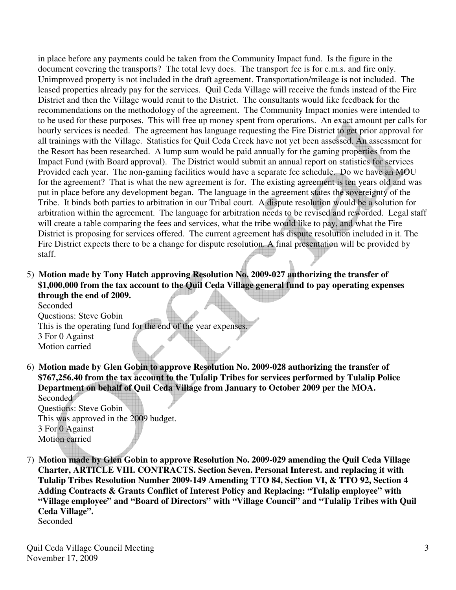in place before any payments could be taken from the Community Impact fund. Is the figure in the document covering the transports? The total levy does. The transport fee is for e.m.s. and fire only. Unimproved property is not included in the draft agreement. Transportation/mileage is not included. The leased properties already pay for the services. Quil Ceda Village will receive the funds instead of the Fire District and then the Village would remit to the District. The consultants would like feedback for the recommendations on the methodology of the agreement. The Community Impact monies were intended to to be used for these purposes. This will free up money spent from operations. An exact amount per calls for hourly services is needed. The agreement has language requesting the Fire District to get prior approval for all trainings with the Village. Statistics for Quil Ceda Creek have not yet been assessed. An assessment for the Resort has been researched. A lump sum would be paid annually for the gaming properties from the Impact Fund (with Board approval). The District would submit an annual report on statistics for services Provided each year. The non-gaming facilities would have a separate fee schedule. Do we have an MOU for the agreement? That is what the new agreement is for. The existing agreement is ten years old and was put in place before any development began. The language in the agreement states the sovereignty of the Tribe. It binds both parties to arbitration in our Tribal court. A dispute resolution would be a solution for arbitration within the agreement. The language for arbitration needs to be revised and reworded. Legal staff will create a table comparing the fees and services, what the tribe would like to pay, and what the Fire District is proposing for services offered. The current agreement has dispute resolution included in it. The Fire District expects there to be a change for dispute resolution. A final presentation will be provided by staff.

5) **Motion made by Tony Hatch approving Resolution No. 2009-027 authorizing the transfer of \$1,000,000 from the tax account to the Quil Ceda Village general fund to pay operating expenses through the end of 2009.** 

 Seconded Questions: Steve Gobin This is the operating fund for the end of the year expenses. 3 For 0 Against Motion carried

6) **Motion made by Glen Gobin to approve Resolution No. 2009-028 authorizing the transfer of \$767,256.40 from the tax account to the Tulalip Tribes for services performed by Tulalip Police Department on behalf of Quil Ceda Village from January to October 2009 per the MOA.**  Seconded<sup>1</sup>

 Questions: Steve Gobin This was approved in the 2009 budget. 3 For 0 Against Motion carried

7) **Motion made by Glen Gobin to approve Resolution No. 2009-029 amending the Quil Ceda Village Charter, ARTICLE VIII. CONTRACTS. Section Seven. Personal Interest. and replacing it with Tulalip Tribes Resolution Number 2009-149 Amending TTO 84, Section VI, & TTO 92, Section 4 Adding Contracts & Grants Conflict of Interest Policy and Replacing: "Tulalip employee" with "Village employee" and "Board of Directors" with "Village Council" and "Tulalip Tribes with Quil Ceda Village".** Seconded

Quil Ceda Village Council Meeting November 17, 2009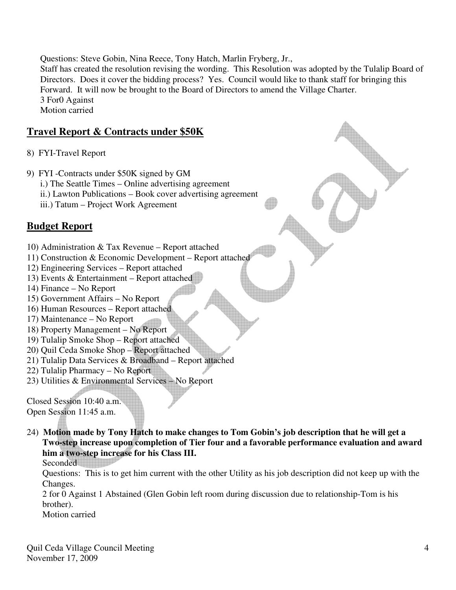Questions: Steve Gobin, Nina Reece, Tony Hatch, Marlin Fryberg, Jr.,

 Staff has created the resolution revising the wording. This Resolution was adopted by the Tulalip Board of Directors. Does it cover the bidding process? Yes. Council would like to thank staff for bringing this Forward. It will now be brought to the Board of Directors to amend the Village Charter. 3 For0 Against Motion carried

## **Travel Report & Contracts under \$50K**

- 8) FYI-Travel Report
- 9) FYI -Contracts under \$50K signed by GM
	- i.) The Seattle Times Online advertising agreement
	- ii.) Lawton Publications Book cover advertising agreement
	- iii.) Tatum Project Work Agreement

# **Budget Report**

- 10) Administration & Tax Revenue Report attached
- 11) Construction & Economic Development Report attached
- 12) Engineering Services Report attached
- 13) Events & Entertainment Report attached
- 14) Finance No Report
- 15) Government Affairs No Report
- 16) Human Resources Report attached
- 17) Maintenance No Report
- 18) Property Management No Report
- 19) Tulalip Smoke Shop Report attached
- 20) Quil Ceda Smoke Shop Report attached
- 21) Tulalip Data Services & Broadband Report attached
- 22) Tulalip Pharmacy No Report
- 23) Utilities & Environmental Services No Report

Closed Session 10:40 a.m. Open Session 11:45 a.m.

24) **Motion made by Tony Hatch to make changes to Tom Gobin's job description that he will get a Two-step increase upon completion of Tier four and a favorable performance evaluation and award him a two-step increase for his Class III.** 

Seconded

 Questions: This is to get him current with the other Utility as his job description did not keep up with the Changes.

 2 for 0 Against 1 Abstained (Glen Gobin left room during discussion due to relationship-Tom is his brother).

Motion carried